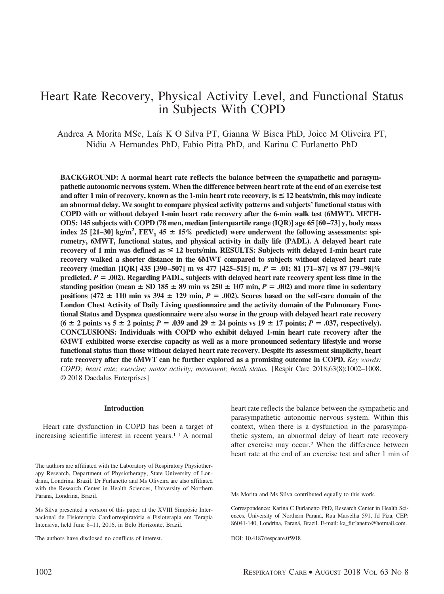# Heart Rate Recovery, Physical Activity Level, and Functional Status in Subjects With COPD

Andrea A Morita MSc, Laís K O Silva PT, Gianna W Bisca PhD, Joice M Oliveira PT, Nidia A Hernandes PhD, Fabio Pitta PhD, and Karina C Furlanetto PhD

**BACKGROUND: A normal heart rate reflects the balance between the sympathetic and parasympathetic autonomic nervous system. When the difference between heart rate at the end of an exercise test and after 1 min of recovery, known as the 1-min heart rate recovery, is** < **12 beats/min, this may indicate an abnormal delay. We sought to compare physical activity patterns and subjects' functional status with COPD with or without delayed 1-min heart rate recovery after the 6-min walk test (6MWT). METH-ODS: 145 subjects with COPD (78 men, median [interquartile range (IQR)] age 65 [60 –73] y, body mass** index 25 [21–30] kg/m<sup>2</sup>,  $FEV_1$  45  $\pm$  15% predicted) were underwent the following assessments: spi**rometry, 6MWT, functional status, and physical activity in daily life (PADL). A delayed heart rate recovery of 1 min was defined as** < **12 beats/min. RESULTS: Subjects with delayed 1-min heart rate recovery walked a shorter distance in the 6MWT compared to subjects without delayed heart rate recovery (median [IQR] 435 [390 –507] m vs 477 [425–515] m,** *P* **.01; 81 [71– 87] vs 87 [79 –98]% predicted,** *P* **.002). Regarding PADL, subjects with delayed heart rate recovery spent less time in the** standing position (mean  $\pm$  SD 185  $\pm$  89 min vs 250  $\pm$  107 min,  $P = .002$ ) and more time in sedentary positions  $(472 \pm 110 \text{ min} \text{ vs } 394 \pm 129 \text{ min}, P = .002)$ . Scores based on the self-care domain of the **London Chest Activity of Daily Living questionnaire and the activity domain of the Pulmonary Functional Status and Dyspnea questionnaire were also worse in the group with delayed heart rate recovery**  $(6 \pm 2 \text{ points vs } 5 \pm 2 \text{ points}; P = .039 \text{ and } 29 \pm 24 \text{ points vs } 19 \pm 17 \text{ points}; P = .037, \text{ respectively}).$ **CONCLUSIONS: Individuals with COPD who exhibit delayed 1-min heart rate recovery after the 6MWT exhibited worse exercise capacity as well as a more pronounced sedentary lifestyle and worse functional status than those without delayed heart rate recovery. Despite its assessment simplicity, heart rate recovery after the 6MWT can be further explored as a promising outcome in COPD.** *Key words: COPD; heart rate; exercise; motor activity; movement; heath status.* [Respir Care 2018;63(8):1002–1008. © 2018 Daedalus Enterprises]

#### **Introduction**

Heart rate dysfunction in COPD has been a target of increasing scientific interest in recent years.1-4 A normal

heart rate reflects the balance between the sympathetic and parasympathetic autonomic nervous system. Within this context, when there is a dysfunction in the parasympathetic system, an abnormal delay of heart rate recovery after exercise may occur.2 When the difference between heart rate at the end of an exercise test and after 1 min of

The authors are affiliated with the Laboratory of Respiratory Physiotherapy Research, Department of Physiotherapy, State University of Londrina, Londrina, Brazil. Dr Furlanetto and Ms Oliveira are also affiliated with the Research Center in Health Sciences, University of Northern Parana, Londrina, Brazil.

Ms Silva presented a version of this paper at the XVIII Simpósio Internacional de Fisioterapia Cardiorrespiratória e Fisioterapia em Terapia Intensiva, held June 8–11, 2016, in Belo Horizonte, Brazil.

The authors have disclosed no conflicts of interest.

Ms Morita and Ms Silva contributed equally to this work.

Correspondence: Karina C Furlanetto PhD, Research Center in Health Sciences, University of Northern Paraná, Rua Marselha 591, Jd Piza, CEP: 86041-140, Londrina, Paraná, Brazil. E-mail: ka\_furlanetto@hotmail.com.

DOI: 10.4187/respcare.05918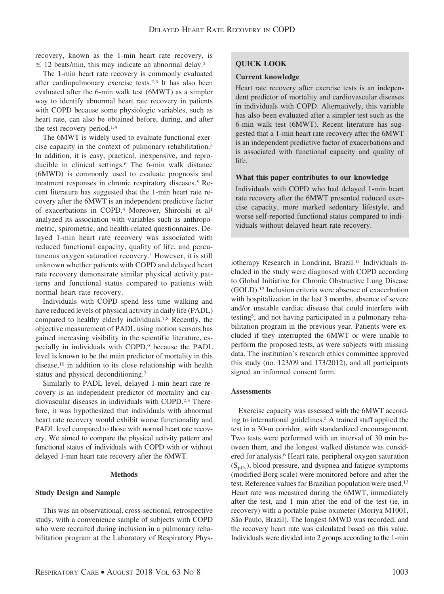recovery, known as the 1-min heart rate recovery, is  $\leq$  12 beats/min, this may indicate an abnormal delay.<sup>2</sup>

The 1-min heart rate recovery is commonly evaluated after cardiopulmonary exercise tests.2,3 It has also been evaluated after the 6-min walk test (6MWT) as a simpler way to identify abnormal heart rate recovery in patients with COPD because some physiologic variables, such as heart rate, can also be obtained before, during, and after the test recovery period.1,4

The 6MWT is widely used to evaluate functional exercise capacity in the context of pulmonary rehabilitation.5 In addition, it is easy, practical, inexpensive, and reproducible in clinical settings.6 The 6-min walk distance (6MWD) is commonly used to evaluate prognosis and treatment responses in chronic respiratory diseases.<sup>5</sup> Recent literature has suggested that the 1-min heart rate recovery after the 6MWT is an independent predictive factor of exacerbations in COPD.4 Moreover, Shiroishi et al1 analyzed its association with variables such as anthropometric, spirometric, and health-related questionnaires. Delayed 1-min heart rate recovery was associated with reduced functional capacity, quality of life, and percutaneous oxygen saturation recovery.1 However, it is still unknown whether patients with COPD and delayed heart rate recovery demonstrate similar physical activity patterns and functional status compared to patients with normal heart rate recovery.

Individuals with COPD spend less time walking and have reduced levels of physical activity in daily life (PADL) compared to healthy elderly individuals.7,8 Recently, the objective measurement of PADL using motion sensors has gained increasing visibility in the scientific literature, especially in individuals with COPD,<sup>9</sup> because the PADL level is known to be the main predictor of mortality in this disease,<sup>10</sup> in addition to its close relationship with health status and physical deconditioning.7

Similarly to PADL level, delayed 1-min heart rate recovery is an independent predictor of mortality and cardiovascular diseases in individuals with COPD.2,3 Therefore, it was hypothesized that individuals with abnormal heart rate recovery would exhibit worse functionality and PADL level compared to those with normal heart rate recovery. We aimed to compare the physical activity pattern and functional status of individuals with COPD with or without delayed 1-min heart rate recovery after the 6MWT.

#### **Methods**

# **Study Design and Sample**

This was an observational, cross-sectional, retrospective study, with a convenience sample of subjects with COPD who were recruited during inclusion in a pulmonary rehabilitation program at the Laboratory of Respiratory Phys-

# **QUICK LOOK**

### **Current knowledge**

Heart rate recovery after exercise tests is an independent predictor of mortality and cardiovascular diseases in individuals with COPD. Alternatively, this variable has also been evaluated after a simpler test such as the 6-min walk test (6MWT). Recent literature has suggested that a 1-min heart rate recovery after the 6MWT is an independent predictive factor of exacerbations and is associated with functional capacity and quality of life.

#### **What this paper contributes to our knowledge**

Individuals with COPD who had delayed 1-min heart rate recovery after the 6MWT presented reduced exercise capacity, more marked sedentary lifestyle, and worse self-reported functional status compared to individuals without delayed heart rate recovery.

iotherapy Research in Londrina, Brazil.<sup>11</sup> Individuals included in the study were diagnosed with COPD according to Global Initiative for Chronic Obstructive Lung Disease (GOLD).12 Inclusion criteria were absence of exacerbation with hospitalization in the last 3 months, absence of severe and/or unstable cardiac disease that could interfere with testing5, and not having participated in a pulmonary rehabilitation program in the previous year. Patients were excluded if they interrupted the 6MWT or were unable to perform the proposed tests, as were subjects with missing data. The institution's research ethics committee approved this study (no. 123/09 and 173/2012), and all participants signed an informed consent form.

# **Assessments**

Exercise capacity was assessed with the 6MWT according to international guidelines.5 A trained staff applied the test in a 30-m corridor, with standardized encouragement. Two tests were performed with an interval of 30 min between them, and the longest walked distance was considered for analysis.6 Heart rate, peripheral oxygen saturation  $(S_{pQ_2})$ , blood pressure, and dyspnea and fatigue symptoms (modified Borg scale) were monitored before and after the test. Reference values for Brazilian population were used.13 Heart rate was measured during the 6MWT, immediately after the test, and 1 min after the end of the test (ie, in recovery) with a portable pulse oximeter (Moriya M1001, São Paulo, Brazil). The longest 6MWD was recorded, and the recovery heart rate was calculated based on this value. Individuals were divided into 2 groups according to the 1-min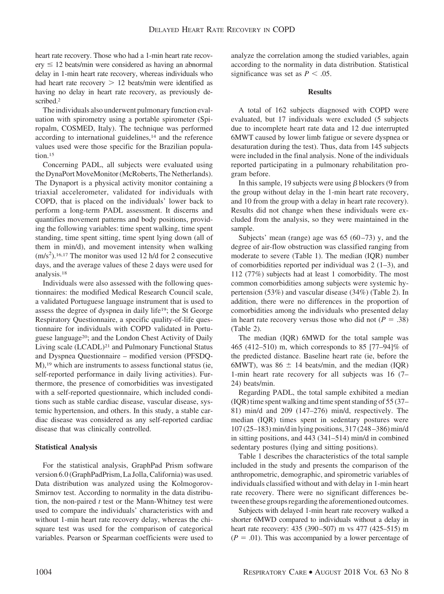heart rate recovery. Those who had a 1-min heart rate recov- $\text{ery} \leq 12$  beats/min were considered as having an abnormal delay in 1-min heart rate recovery, whereas individuals who had heart rate recovery  $> 12$  beats/min were identified as having no delay in heart rate recovery, as previously described.2

The individuals also underwent pulmonary function evaluation with spirometry using a portable spirometer (Spiropalm, COSMED, Italy). The technique was performed according to international guidelines, $14$  and the reference values used were those specific for the Brazilian population.15

Concerning PADL, all subjects were evaluated using the DynaPort MoveMonitor (McRoberts, The Netherlands). The Dynaport is a physical activity monitor containing a triaxial accelerometer, validated for individuals with COPD, that is placed on the individuals' lower back to perform a long-term PADL assessment. It discerns and quantifies movement patterns and body positions, providing the following variables: time spent walking, time spent standing, time spent sitting, time spent lying down (all of them in min/d), and movement intensity when walking  $(m/s<sup>2</sup>)$ .<sup>16,17</sup> The monitor was used 12 h/d for 2 consecutive days, and the average values of these 2 days were used for analysis.18

Individuals were also assessed with the following questionnaires: the modified Medical Research Council scale, a validated Portuguese language instrument that is used to assess the degree of dyspnea in daily life19; the St George Respiratory Questionnaire, a specific quality-of-life questionnaire for individuals with COPD validated in Portuguese language20; and the London Chest Activity of Daily Living scale (LCADL)21 and Pulmonary Functional Status and Dyspnea Questionnaire – modified version (PFSDQ-M),19 which are instruments to assess functional status (ie, self-reported performance in daily living activities). Furthermore, the presence of comorbidities was investigated with a self-reported questionnaire, which included conditions such as stable cardiac disease, vascular disease, systemic hypertension, and others. In this study, a stable cardiac disease was considered as any self-reported cardiac disease that was clinically controlled.

# **Statistical Analysis**

For the statistical analysis, GraphPad Prism software version 6.0 (GraphPadPrism, La Jolla, California) was used. Data distribution was analyzed using the Kolmogorov-Smirnov test. According to normality in the data distribution, the non-paired *t* test or the Mann-Whitney test were used to compare the individuals' characteristics with and without 1-min heart rate recovery delay, whereas the chisquare test was used for the comparison of categorical variables. Pearson or Spearman coefficients were used to analyze the correlation among the studied variables, again according to the normality in data distribution. Statistical significance was set as  $P < .05$ .

### **Results**

A total of 162 subjects diagnosed with COPD were evaluated, but 17 individuals were excluded (5 subjects due to incomplete heart rate data and 12 due interrupted 6MWT caused by lower limb fatigue or severe dyspnea or desaturation during the test). Thus, data from 145 subjects were included in the final analysis. None of the individuals reported participating in a pulmonary rehabilitation program before.

In this sample, 19 subjects were using  $\beta$  blockers (9 from the group without delay in the 1-min heart rate recovery, and 10 from the group with a delay in heart rate recovery). Results did not change when these individuals were excluded from the analysis, so they were maintained in the sample.

Subjects' mean (range) age was  $65 (60-73)$  y, and the degree of air-flow obstruction was classified ranging from moderate to severe (Table 1). The median (IQR) number of comorbidities reported per individual was  $2(1-3)$ , and 112 (77%) subjects had at least 1 comorbidity. The most common comorbidities among subjects were systemic hypertension (53%) and vascular disease (34%) (Table 2). In addition, there were no differences in the proportion of comorbidities among the individuals who presented delay in heart rate recovery versus those who did not  $(P = .38)$ (Table 2).

The median (IQR) 6MWD for the total sample was 465 (412–510) m, which corresponds to 85 [77–94]% of the predicted distance. Baseline heart rate (ie, before the 6MWT), was  $86 \pm 14$  beats/min, and the median (IQR) 1-min heart rate recovery for all subjects was 16 (7– 24) beats/min.

Regarding PADL, the total sample exhibited a median (IQR) time spent walking and time spent standing of 55 (37– 81) min/d and 209 (147–276) min/d, respectively. The median (IQR) times spent in sedentary postures were 107 (25–183) min/dinlying positions, 317 (248 –386) min/d in sitting positions, and 443 (341–514) min/d in combined sedentary postures (lying and sitting positions).

Table 1 describes the characteristics of the total sample included in the study and presents the comparison of the anthropometric, demographic, and spirometric variables of individuals classified without and with delay in 1-min heart rate recovery. There were no significant differences between these groups regarding the aforementioned outcomes.

Subjects with delayed 1-min heart rate recovery walked a shorter 6MWD compared to individuals without a delay in heart rate recovery: 435 (390-507) m vs 477 (425-515) m  $(P = .01)$ . This was accompanied by a lower percentage of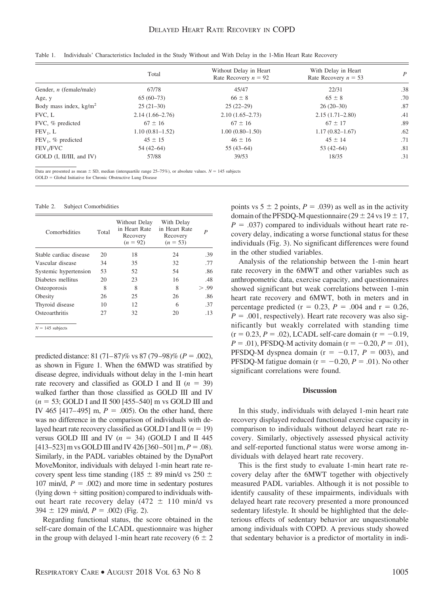|                           | Total               | Without Delay in Heart<br>Rate Recovery $n = 92$ | With Delay in Heart<br>Rate Recovery $n = 53$ | P   |
|---------------------------|---------------------|--------------------------------------------------|-----------------------------------------------|-----|
| Gender, $n$ (female/male) | 67/78               | 45/47                                            | 22/31                                         | .38 |
| Age, y                    | $65(60-73)$         | $66 \pm 8$                                       | $65 \pm 8$                                    | .70 |
| Body mass index, $kg/m2$  | $25(21-30)$         | $25(22-29)$                                      | $26(20-30)$                                   | .87 |
| FVC, L                    | $2.14(1.66-2.76)$   | $2.10(1.65 - 2.73)$                              | $2.15(1.71 - 2.80)$                           | .41 |
| FVC, % predicted          | $67 \pm 16$         | $67 \pm 16$                                      | $67 \pm 17$                                   | .89 |
| $FEV_1, L$                | $1.10(0.81 - 1.52)$ | $1.00(0.80 - 1.50)$                              | $1.17(0.82 - 1.67)$                           | .62 |
| $FEV_1$ , % predicted     | $45 \pm 15$         | $46 \pm 16$                                      | $45 \pm 14$                                   | .71 |
| FEV <sub>1</sub> /FVC     | $54(42-64)$         | $55(43-64)$                                      | $53(42-64)$                                   | .81 |
| GOLD (I, II/III, and IV)  | 57/88               | 39/53                                            | 18/35                                         | .31 |
|                           |                     |                                                  |                                               |     |

Table 1. Individuals' Characteristics Included in the Study Without and With Delay in the 1-Min Heart Rate Recovery

Data are presented as mean  $\pm$  SD, median (interquartile range 25-75%), or absolute values.  $N = 145$  subjects GOLD = Global Initiative for Chronic Obstructive Lung Disease

#### Table 2. Subject Comorbidities

| Comorbidities          | Total | Without Delay<br>in Heart Rate<br>Recovery<br>$(n = 92)$ | With Delay<br>in Heart Rate<br>Recovery<br>$(n = 53)$ | P     |
|------------------------|-------|----------------------------------------------------------|-------------------------------------------------------|-------|
| Stable cardiac disease | 20    | 18                                                       | 24                                                    | .39   |
| Vascular disease       | 34    | 35                                                       | 32                                                    | .77   |
| Systemic hypertension  | 53    | 52                                                       | 54                                                    | .86   |
| Diabetes mellitus      | 20    | 23                                                       | 16                                                    | .48   |
| Osteoporosis           | 8     | 8                                                        | 8                                                     | > .99 |
| Obesity                | 26    | 25                                                       | 26                                                    | .86   |
| Thyroid disease        | 10    | 12                                                       | 6                                                     | .37   |
| Osteoarthritis         | 27    | 32                                                       | 20                                                    | .13   |
| $N = 145$ subjects     |       |                                                          |                                                       |       |

predicted distance:  $81 (71-87)$ % vs  $87 (79-98)$ % ( $P = .002$ ), as shown in Figure 1. When the 6MWD was stratified by disease degree, individuals without delay in the 1-min heart rate recovery and classified as GOLD I and II  $(n = 39)$ walked farther than those classified as GOLD III and IV  $(n = 53; \text{GOLD I} \text{ and } \text{II} \text{ 500} \text{ [455–540] m vs } \text{GOLD III} \text{ and } \text{II} \text{ and } \text{II} \text{ 500} \text{ [455–540] m vs } \text{GOLD III} \text{ and } \text{II} \text{ 500} \text{ [455–540] m vs } \text{GOLD III} \text{ and } \text{II} \text{ 500} \text{ [455–540] m vs } \text{GOLD III} \text{ and } \text{II} \text{ 500} \text{ [455–540] m vs } \text{G$ IV 465 [417–495] m,  $P = .005$ ). On the other hand, there was no difference in the comparison of individuals with delayed heart rate recovery classified as GOLD I and II  $(n = 19)$ versus GOLD III and IV  $(n = 34)$  (GOLD I and II 445)  $[413–523]$  m vs GOLD III and IV 426  $[360–501]$  m,  $P = .08$ ). Similarly, in the PADL variables obtained by the DynaPort MoveMonitor, individuals with delayed 1-min heart rate recovery spent less time standing (185  $\pm$  89 min/d vs 250  $\pm$ 107 min/d,  $P = .002$ ) and more time in sedentary postures  $\frac{1}{\pi}$  (lying down  $+$  sitting position) compared to individuals without heart rate recovery delay  $(472 \pm 110 \text{ min/d vs }$  $394 \pm 129$  min/d,  $P = .002$ ) (Fig. 2).

Regarding functional status, the score obtained in the self-care domain of the LCADL questionnaire was higher in the group with delayed 1-min heart rate recovery ( $6 \pm 2$ ) points vs  $5 \pm 2$  points,  $P = .039$ ) as well as in the activity domain of the PFSDQ-M questionnaire ( $29 \pm 24$  vs  $19 \pm 17$ ,  $P = .037$ ) compared to individuals without heart rate recovery delay, indicating a worse functional status for these individuals (Fig. 3). No significant differences were found in the other studied variables.

Analysis of the relationship between the 1-min heart rate recovery in the 6MWT and other variables such as anthropometric data, exercise capacity, and questionnaires showed significant but weak correlations between 1-min heart rate recovery and 6MWT, both in meters and in percentage predicted ( $r = 0.23$ ,  $P = .004$  and  $r = 0.26$ ,  $P = .001$ , respectively). Heart rate recovery was also significantly but weakly correlated with standing time  $(r = 0.23, P = .02)$ , LCADL self-care domain  $(r = -0.19,$  $P = .01$ ), PFSDQ-M activity domain ( $r = -0.20, P = .01$ ), PFSDQ-M dyspnea domain ( $r = -0.17$ ,  $P = 003$ ), and PFSDQ-M fatigue domain ( $r = -0.20$ ,  $P = .01$ ). No other significant correlations were found.

#### **Discussion**

In this study, individuals with delayed 1-min heart rate recovery displayed reduced functional exercise capacity in comparison to individuals without delayed heart rate recovery. Similarly, objectively assessed physical activity and self-reported functional status were worse among individuals with delayed heart rate recovery.

This is the first study to evaluate 1-min heart rate recovery delay after the 6MWT together with objectively measured PADL variables. Although it is not possible to identify causality of these impairments, individuals with delayed heart rate recovery presented a more pronounced sedentary lifestyle. It should be highlighted that the deleterious effects of sedentary behavior are unquestionable among individuals with COPD. A previous study showed that sedentary behavior is a predictor of mortality in indi-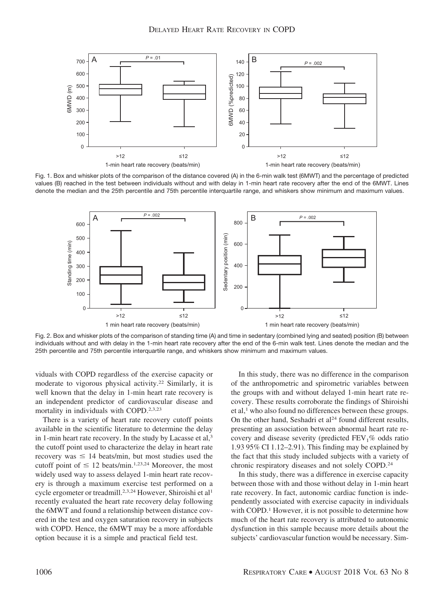

Fig. 1. Box and whisker plots of the comparison of the distance covered (A) in the 6-min walk test (6MWT) and the percentage of predicted values (B) reached in the test between individuals without and with delay in 1-min heart rate recovery after the end of the 6MWT. Lines denote the median and the 25th percentile and 75th percentile interquartile range, and whiskers show minimum and maximum values.



Fig. 2. Box and whisker plots of the comparison of standing time (A) and time in sedentary (combined lying and seated) position (B) between individuals without and with delay in the 1-min heart rate recovery after the end of the 6-min walk test. Lines denote the median and the 25th percentile and 75th percentile interquartile range, and whiskers show minimum and maximum values.

viduals with COPD regardless of the exercise capacity or moderate to vigorous physical activity.22 Similarly, it is well known that the delay in 1-min heart rate recovery is an independent predictor of cardiovascular disease and mortality in individuals with COPD.2,3,23

There is a variety of heart rate recovery cutoff points available in the scientific literature to determine the delay in 1-min heart rate recovery. In the study by Lacasse et al,<sup>3</sup> the cutoff point used to characterize the delay in heart rate recovery was  $\leq 14$  beats/min, but most studies used the cutoff point of  $\leq 12$  beats/min.<sup>1,23,24</sup> Moreover, the most widely used way to assess delayed 1-min heart rate recovery is through a maximum exercise test performed on a cycle ergometer or treadmill.<sup>2,3,24</sup> However, Shiroishi et al<sup>1</sup> recently evaluated the heart rate recovery delay following the 6MWT and found a relationship between distance covered in the test and oxygen saturation recovery in subjects with COPD. Hence, the 6MWT may be a more affordable option because it is a simple and practical field test.

In this study, there was no difference in the comparison of the anthropometric and spirometric variables between the groups with and without delayed 1-min heart rate recovery. These results corroborate the findings of Shiroishi et al,<sup>1</sup> who also found no differences between these groups. On the other hand, Seshadri et al<sup>24</sup> found different results, presenting an association between abnormal heart rate recovery and disease severity (predicted  $FEV<sub>1</sub>%$  odds ratio 1.93 95% CI 1.12–2.91). This finding may be explained by the fact that this study included subjects with a variety of chronic respiratory diseases and not solely COPD.24

In this study, there was a difference in exercise capacity between those with and those without delay in 1-min heart rate recovery. In fact, autonomic cardiac function is independently associated with exercise capacity in individuals with COPD.<sup>1</sup> However, it is not possible to determine how much of the heart rate recovery is attributed to autonomic dysfunction in this sample because more details about the subjects' cardiovascular function would be necessary. Sim-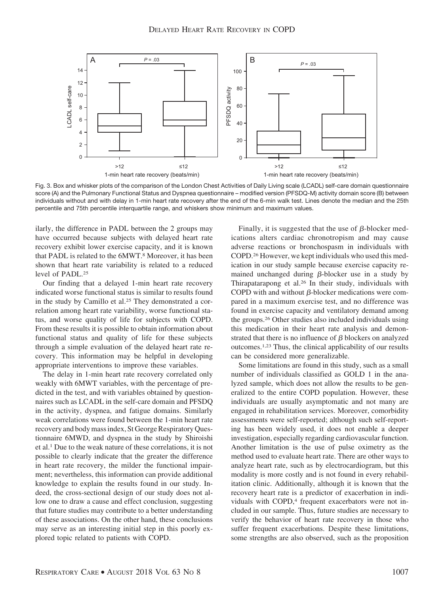

Fig. 3. Box and whisker plots of the comparison of the London Chest Activities of Daily Living scale (LCADL) self-care domain questionnaire score (A) and the Pulmonary Functional Status and Dyspnea questionnaire – modified version (PFSDQ-M) activity domain score (B) between individuals without and with delay in 1-min heart rate recovery after the end of the 6-min walk test. Lines denote the median and the 25th percentile and 75th percentile interquartile range, and whiskers show minimum and maximum values.

ilarly, the difference in PADL between the 2 groups may have occurred because subjects with delayed heart rate recovery exhibit lower exercise capacity, and it is known that PADL is related to the 6MWT.8 Moreover, it has been shown that heart rate variability is related to a reduced level of PADL.25

Our finding that a delayed 1-min heart rate recovery indicated worse functional status is similar to results found in the study by Camillo et al.<sup>25</sup> They demonstrated a correlation among heart rate variability, worse functional status, and worse quality of life for subjects with COPD. From these results it is possible to obtain information about functional status and quality of life for these subjects through a simple evaluation of the delayed heart rate recovery. This information may be helpful in developing appropriate interventions to improve these variables.

The delay in 1-min heart rate recovery correlated only weakly with 6MWT variables, with the percentage of predicted in the test, and with variables obtained by questionnaires such as LCADL in the self-care domain and PFSDQ in the activity, dyspnea, and fatigue domains. Similarly weak correlations were found between the 1-min heart rate recovery and body mass index, St George Respiratory Questionnaire 6MWD, and dyspnea in the study by Shiroishi et al.1 Due to the weak nature of these correlations, it is not possible to clearly indicate that the greater the difference in heart rate recovery, the milder the functional impairment; nevertheless, this information can provide additional knowledge to explain the results found in our study. Indeed, the cross-sectional design of our study does not allow one to draw a cause and effect conclusion, suggesting that future studies may contribute to a better understanding of these associations. On the other hand, these conclusions may serve as an interesting initial step in this poorly explored topic related to patients with COPD.

Finally, it is suggested that the use of  $\beta$ -blocker medications alters cardiac chronotropism and may cause adverse reactions or bronchospasm in individuals with COPD.26 However, we kept individuals who used this medication in our study sample because exercise capacity remained unchanged during  $\beta$ -blocker use in a study by Thirapatarapong et al.26 In their study, individuals with COPD with and without  $\beta$ -blocker medications were compared in a maximum exercise test, and no difference was found in exercise capacity and ventilatory demand among the groups.26 Other studies also included individuals using this medication in their heart rate analysis and demonstrated that there is no influence of  $\beta$  blockers on analyzed outcomes.1,23 Thus, the clinical applicability of our results can be considered more generalizable.

Some limitations are found in this study, such as a small number of individuals classified as GOLD 1 in the analyzed sample, which does not allow the results to be generalized to the entire COPD population. However, these individuals are usually asymptomatic and not many are engaged in rehabilitation services. Moreover, comorbidity assessments were self-reported; although such self-reporting has been widely used, it does not enable a deeper investigation, especially regarding cardiovascular function. Another limitation is the use of pulse oximetry as the method used to evaluate heart rate. There are other ways to analyze heart rate, such as by electrocardiogram, but this modality is more costly and is not found in every rehabilitation clinic. Additionally, although it is known that the recovery heart rate is a predictor of exacerbation in individuals with COPD,<sup>4</sup> frequent exacerbators were not included in our sample. Thus, future studies are necessary to verify the behavior of heart rate recovery in those who suffer frequent exacerbations. Despite these limitations, some strengths are also observed, such as the proposition